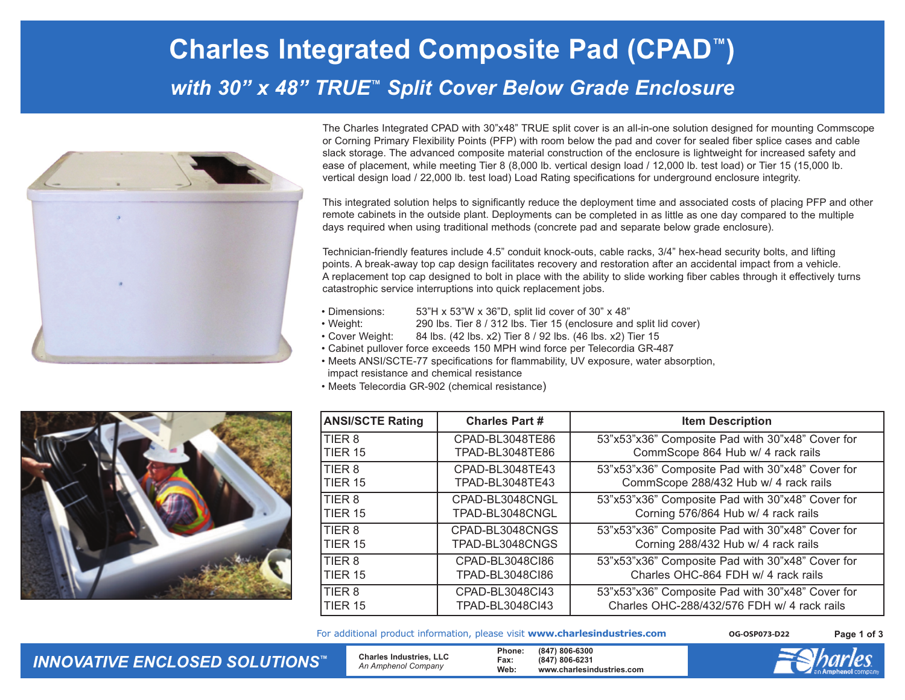## **Charles Integrated Composite Pad (CPAD ™)**  *with 30" x 48" TRUE ™ Split Cover Below Grade Enclosure*



The Charles Integrated CPAD with 30"x48" TRUE split cover is an all-in-one solution designed for mounting Commscope or Corning Primary Flexibility Points (PFP) with room below the pad and cover for sealed fiber splice cases and cable slack storage. The advanced composite material construction of the enclosure is lightweight for increased safety and ease of placement, while meeting Tier 8 (8,000 lb. vertical design load / 12,000 lb. test load) or Tier 15 (15,000 lb. vertical design load / 22,000 lb. test load) Load Rating specifications for underground enclosure integrity.

This integrated solution helps to significantly reduce the deployment time and associated costs of placing PFP and other remote cabinets in the outside plant. Deployments can be completed in as little as one day compared to the multiple days required when using traditional methods (concrete pad and separate below grade enclosure).

Technician-friendly features include 4.5" conduit knock-outs, cable racks, 3/4" hex-head security bolts, and lifting points. A break-away top cap design facilitates recovery and restoration after an accidental impact from a vehicle. A replacement top cap designed to bolt in place with the ability to slide working fiber cables through it effectively turns catastrophic service interruptions into quick replacement jobs.

- Dimensions: 53"H x 53"W x 36"D, split lid cover of 30" x 48"
- Weight: 290 lbs. Tier 8 / 312 lbs. Tier 15 (enclosure and split lid cover)
- Cover Weight: 84 lbs. (42 lbs. x2) Tier 8 / 92 lbs. (46 lbs. x2) Tier 15
- Cabinet pullover force exceeds 150 MPH wind force per Telecordia GR-487
- Meets ANSI/SCTE-77 specifications for flammability, UV exposure, water absorption, impact resistance and chemical resistance
- Meets Telecordia GR-902 (chemical resistance)



| <b>ANSI/SCTE Rating</b> | <b>Charles Part #</b>  | <b>Item Description</b>                          |
|-------------------------|------------------------|--------------------------------------------------|
| <b>ITIER 8</b>          | CPAD-BL3048TE86        | 53"x53"x36" Composite Pad with 30"x48" Cover for |
| TIER 15                 | TPAD-BL3048TE86        | CommScope 864 Hub w/ 4 rack rails                |
| <b>ITIER 8</b>          | CPAD-BL3048TE43        | 53"x53"x36" Composite Pad with 30"x48" Cover for |
| TIER 15                 | TPAD-BL3048TE43        | CommScope 288/432 Hub w/ 4 rack rails            |
| <b>ITIER 8</b>          | CPAD-BL3048CNGL        | 53"x53"x36" Composite Pad with 30"x48" Cover for |
| <b>TIER 15</b>          | TPAD-BL3048CNGL        | Corning 576/864 Hub w/ 4 rack rails              |
| <b>ITIER 8</b>          | CPAD-BL3048CNGS        | 53"x53"x36" Composite Pad with 30"x48" Cover for |
| <b>TIER 15</b>          | TPAD-BL3048CNGS        | Corning 288/432 Hub w/ 4 rack rails              |
| <b>ITIER 8</b>          | CPAD-BL3048CI86        | 53"x53"x36" Composite Pad with 30"x48" Cover for |
| <b>TIER 15</b>          | <b>TPAD-BL3048CI86</b> | Charles OHC-864 FDH w/ 4 rack rails              |
| <b>ITIER 8</b>          | CPAD-BL3048Cl43        | 53"x53"x36" Composite Pad with 30"x48" Cover for |
| TIER 15                 | TPAD-BL3048Cl43        | Charles OHC-288/432/576 FDH w/ 4 rack rails      |

For additional product information, please visit **www.charlesindustries.com**

**OG-OSP073-D22 Page 1 of 3**

*INNOVATIVE ENCLOSED SOLUTIONS ™*

 **Charles Industries, LLC**  *An Amphenol Company*

**Phone: (847) 806-6300 Fax: (847) 806-6231 Web: www.charlesindustries.com**

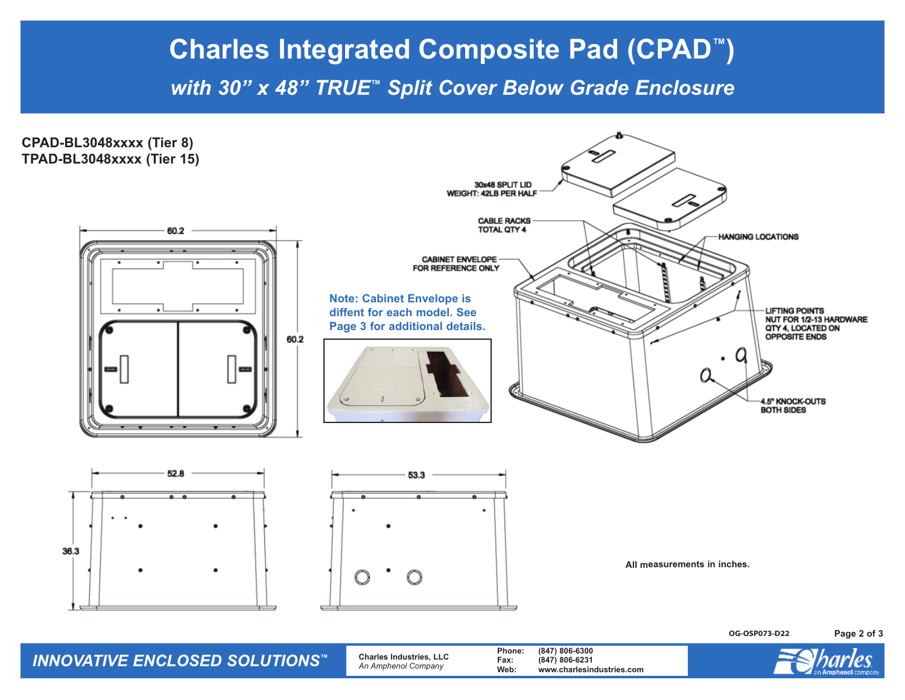## **Charles Integrated Composite Pad (CPAD™)**

*with 30" x 48" TRUE™ Split Cover Below Grade Enclosure*



*INNOVATIVE ENCLOSED SOLUTIONS™* **Charles Industries, LLC** *An Amphenol Company* **Phone: (847) 806-6300 Fax: (847) 806-6231 Web: www.charlesindustries.com**